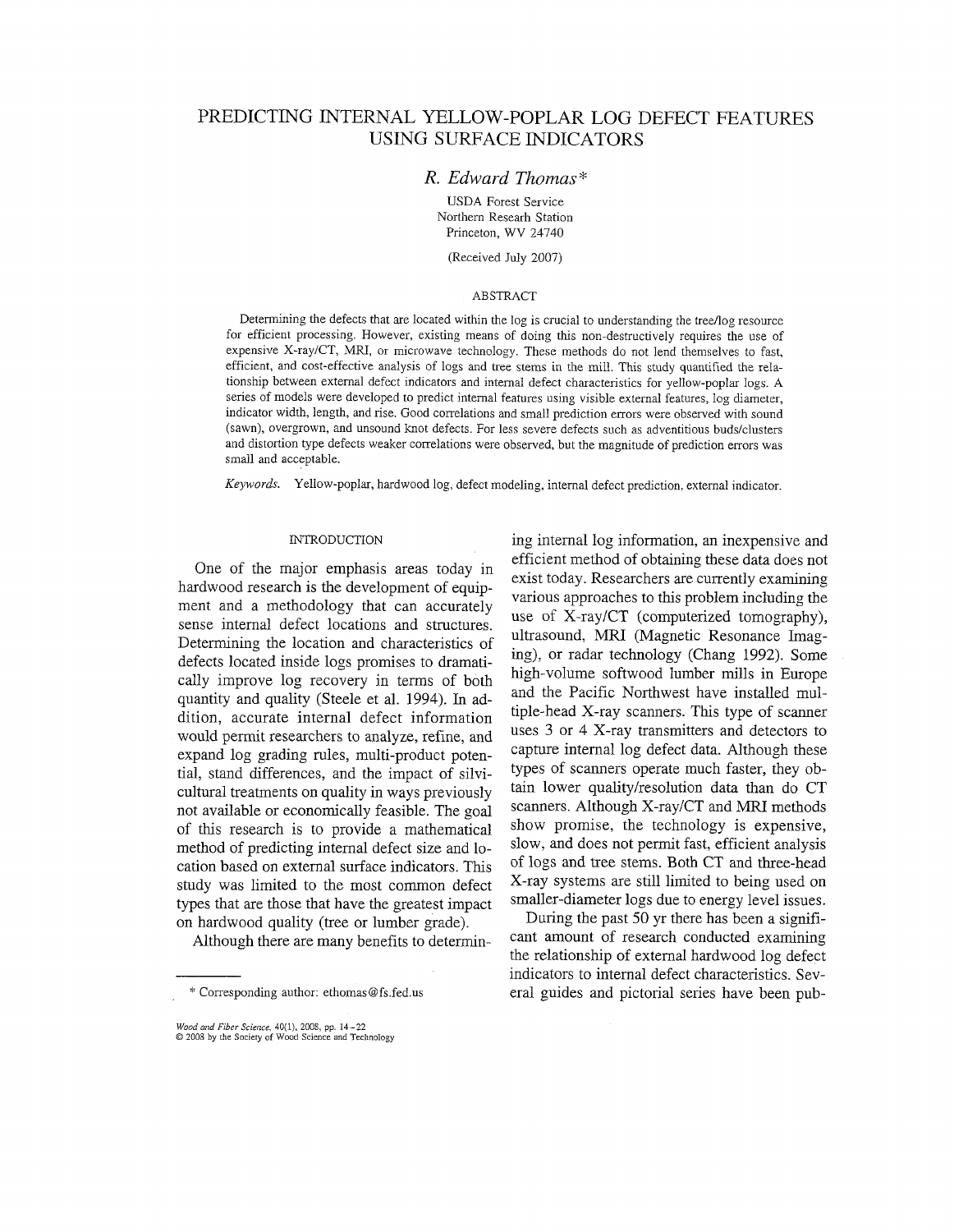# PREDICTING INTERNAL YELLOW-POPLAR LOG DEFECT FEATURES USING SURFACE INDICATORS

# *R. Edward Thomas\**

USDA Forest Service Northern Researh Station Princeton, WV 24740

(Received July 2007)

# **ABSTRACT**

Determining the defects that are located within the log is crucial to understanding the tree/log resource for efficient processing. However, existing means of doing this non-destructively requires the use of expensive X-raylCT, MRI, or microwave technology. These methods do not lend themselves to fast, efficient, and cost-effective analysis of logs and tree stems in the mill. This study quantified the relationship between external defect indicators and internal defect characteristics for yellow-poplar logs. A series of models were developed to predict internal features using visible external features, log diameter, indicator width, length, and rise. Good correlations and small prediction errors were observed with sound (sawn), overgrown, and unsound knot defects. For less severe defects such as adventitious buds/clusters and distortion type defects weaker correlations were observed, but the magnitude of prediction errors was small and acceptable.

*Keywords.* Yellow-poplar, hardwood log, defect modeling, internal defect prediction, external indicator.

One of the major emphasis areas today in hardwood research is the development of equipment and a methodology that can accurately sense internal defect locations and structures. Determining the location and characteristics of defects located inside logs promises to dramatically improve log recovery in terms of both quantity and quality (Steele et al. 1994). In addition, accurate internal defect information would permit researchers to analyze, refine, and expand log grading rules, multi-product potential, stand differences, and the impact of silvicultural treatments on quality in ways previously not available or economically feasible. The goal of this research is to provide a mathematical method of predicting internal defect size and location based on external surface indicators. This study was limited to the most common defect types that are those that have the greatest impact on hardwood quality (tree or lumber grade).

Although there are many benefits to determin-

*Wood artd* Fiber **Science,** 40(1). 2008, **pp.** 14-22 0 2008 by the Society of Wood Science and Technology

INTRODUCTION ing internal log information, an inexpensive and efficient method of obtaining these data does not exist today. Researchers are currently examining various approaches to this problem including the use of X-ray/CT (computerized tomography), ultrasound, MRI (Magnetic Resonance Imaging), or radar technology (Chang 1992). Some high-volume softwood lumber mills in Europe and the Pacific Northwest have installed multiple-head X-ray scanners. This type of scanner uses 3 or 4 X-ray transmitters and detectors to capture internal log defect data. Although these types of scanners operate much faster, they obtain lower quality/resolution data than do CT scanners. Although X-ray/CT and MRI methods show promise, the technology is expensive, slow, and does not permit fast, efficient analysis of logs and tree stems. Both CT and three-head X-ray systems are still limited to being used on smaller-diameter logs due to energy level issues.

During the past 50 yr there has been a significant amount of research conducted examining the relationship of external hardwood log defect indicators to internal defect characteristics. Several guides and pictorial series have been pub-

<sup>\*</sup> Corresponding author: ethomas@fs.fed.us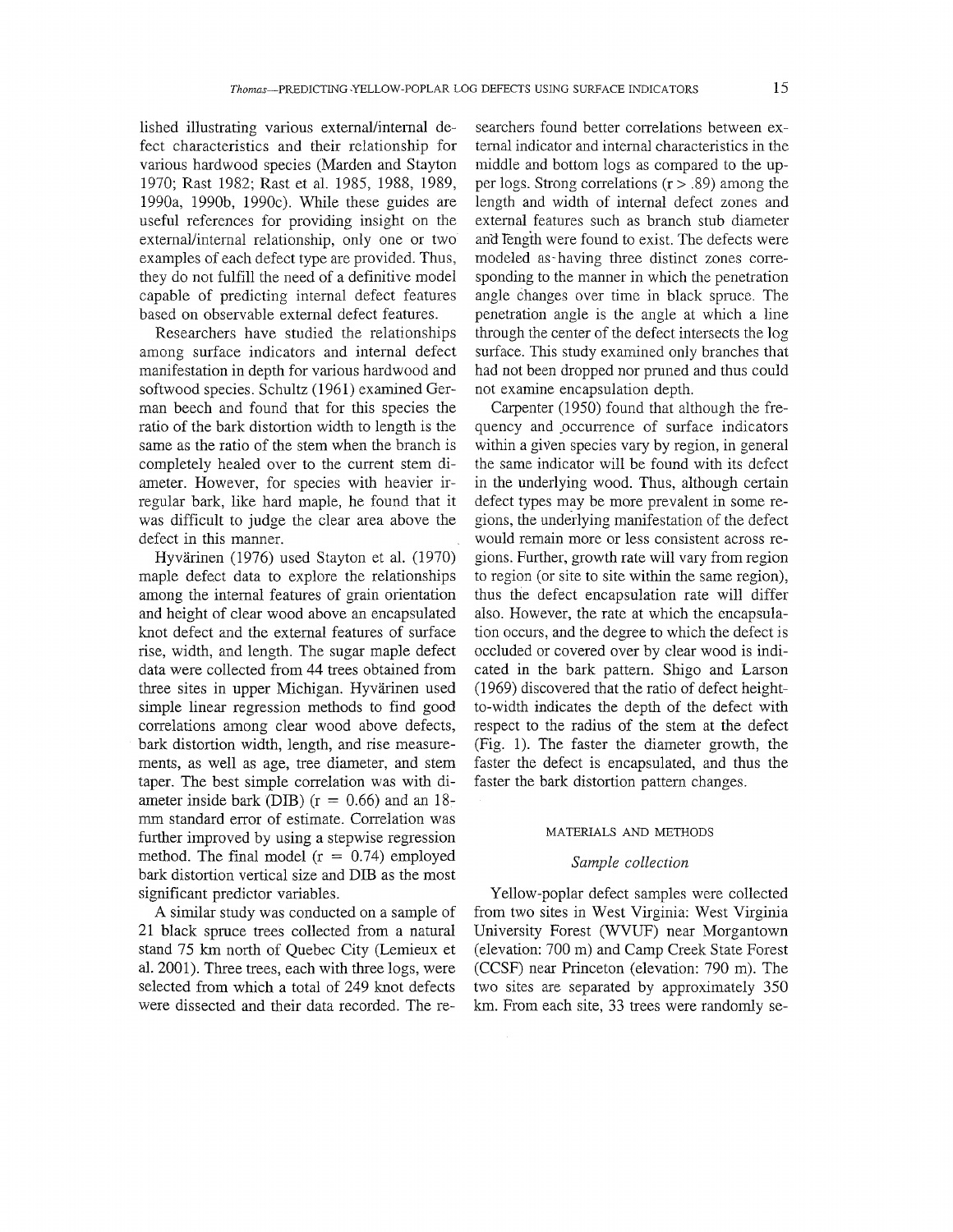lished illustrating various external/internal defect characteristics and their relationship for various hardwood species (Marden and Stayton 1970; Rast 1982; Rast et al. 1985, 1988, 1989, 1990a, 1990b, 1990c). While these guides are useful references for providing insight on the external/internal relationship, only one or two examples of each defect type are provided. Thus, they do not fulfill the need of a definitive model capable of predicting internal defect features based on observable external defect features.

Researchers have studied the relationships among surface indicators and internal defect manifestation in depth for various hardwood and softwood species. Schultz (1961) examined German beech and found that for this species the ratio of the bark distortion width to length is the same as the ratio of the stem when the branch is completely healed over to the current stem diameter. However, for species with heavier irregular bark, like hard maple, he found that it was difficult to judge the clear area above the defect in this manner.

Hyvärinen (1976) used Stayton et al. (1970) maple defect data to explore the relationships among the internal features of grain orientation and height of clear wood above an encapsulated knot defect and the external features of surface rise, width, and length. The sugar maple defect data were collected from 44 trees obtained from three sites in upper Michigan. Hyvarinen used simple linear regression methods to find good correlations among clear wood above defects, bark distortion width, length, and rise measurements, as well as age, tree diameter, and stem taper. The best simple correlation was with diameter inside bark (DIB)  $(r = 0.66)$  and an 18mm standard error of estimate. Correlation was further improved by using a stepwise regression method. The final model  $(r = 0.74)$  employed bark distortion vertical size and DIE as the most significant predictor variables.

A similar study was conducted on a sample of 21 black spruce trees collected from a natural stand 75 **km** north of Quebec City (Lemieux et al. 2001). Three trees, each with three logs, were selected from which a total of 249 knot defects were dissected and their data recorded. The researchers found better correlations between external indicator and internal characteristics in the middle and bottom logs as compared to the upper logs. Strong correlations  $(r > .89)$  among the length and width of internal defect zones and external features such as branch stub diameter and Tength were found to exist. The defects were modeled as-having three distinct zones conesponding to the manner in which the penetration angle changes over time in black spruce. The penetration angle is the angle at which a line through the center of the defect intersects the log surface. This study examined only branches that had not been dropped nor pruned and thus could not examine encapsulation depth.

Carpenter (1950) found that although the frequency and pccurrence of surface indicators within a given species vary by region, in general the same indicator will be found with its defect in the underlying wood. Thus, although certain defect types may be more prevalent in some regions, the underlying manifestation of the defect would remain more or less consistent across regions. Further, growth rate will vary from region to region (or site to site within the same region), thus the defect encapsulation rate will differ also. However, the rate at which the encapsulation occurs, and the degree to which the defect is occluded or covered over by clear wood is indicated in the bark pattern. Shigo and Larson (1969) discovered that the ratio of defect heightto-width indicates the depth of the defect with respect to the radius of the stem at the defect (Fig. 1). The faster the diameter growth, the faster the defect is encapsulated, and thus the faster the bark distortion pattern changes.

#### MATERIALS AND METHODS

#### *Sample collection*

Yellow-poplar defect samples were collected from two sites in West Virginia: West Virginia University Forest (WVUF) near Morgantown (elevation: 700 in) and Camp Creek State Forest (CCSF) near Princeton (elevation: 790 m). The two sites are separated by approximately 350 km. From each site, 33 trees were randomly se-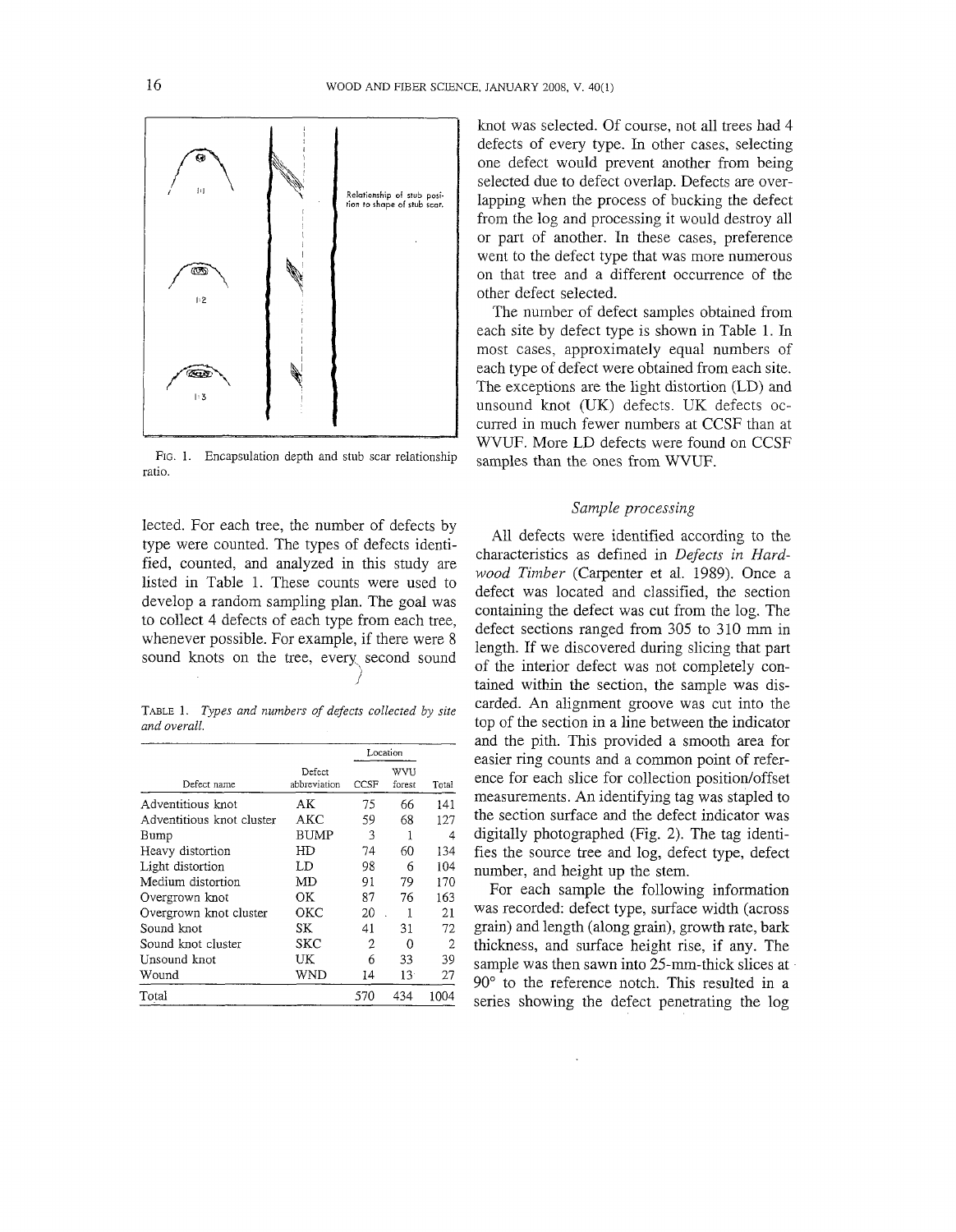

Fig. 1. Encapsulation depth and stub scar relationship samples than the ones from WVUF. ratio.

lected. For each tree, the number of defects by type were counted. The types of defects identified, counted, and analyzed in this study are listed in Table 1. These counts were used to develop a random sampling plan. The goal was to collect 4 defects of each type from each tree, whenever possible. For example, if there were 8 sound knots on the tree, every second sound I

TABLE 1. *Types and numbers of defects collected by site and overall.* 

|                           |                        | Location              |                 |       |  |
|---------------------------|------------------------|-----------------------|-----------------|-------|--|
| Defect name               | Defect<br>abbreviation | WVU<br>CCSF<br>forest |                 | Total |  |
| Adventitious knot         | AΚ                     | 75                    | 66              | 141   |  |
| Adventitious knot cluster | AKC                    | 59                    | 68              | 127   |  |
| Bump                      | <b>BUMP</b>            | 3                     |                 | 4     |  |
| Heavy distortion          | HD                     | 74                    | 60              | 134   |  |
| Light distortion          | LD                     | 98                    | 6               | 104   |  |
| Medium distortion         | MD                     | 91                    | 79              | 170   |  |
| Overgrown knot            | OК                     | 87                    | 76              | 163   |  |
| Overgrown knot cluster    | ОКС                    | 20                    |                 | 21    |  |
| Sound knot                | SK                     | 41                    | 31              | 72    |  |
| Sound knot cluster        | SKC                    | 2                     | Ω               | 2     |  |
| Unsound knot              | UK                     | 6                     | 33              | 39    |  |
| Wound                     | WND                    | 14                    | 13 <sup>1</sup> | 27    |  |
| Total                     |                        | 570                   | 434             | 1004  |  |

knot was selected. Of course, not all trees had 4 defects of every type. In other cases, selecting one defect would prevent another from being selected due to defect overlap. Defects are overlapping when the process of bucking the defect from the log and processing it would destroy all or part of another. In these cases, preference went to the defect type that was more numerous on that tree and a different occurrence of the other defect selected.

The number of defect samples obtained from each site by defect type is shown in Table 1. In most cases, approximately equal numbers of each type of defect were obtained from each site. The exceptions are the light distortion (LD) and unsound knot (UK) defects. UK defects occurred in much fewer numbers at CCSF than at WVUF. More LD defects were found on CCSF

# *Sample processing*

All defects were identified according to the characteristics as defined in *Defects in Hardwood Timber* (Carpenter et al. 1989). Once a defect was located and classified, the section containing the defect was cut from the log. The defect sections ranged from 305 to 310 mm in length. If we discovered during slicing that part of the interior defect was not completely contained within the section, the sample was discarded. An alignment groove was cut into the top of the section in a line between the indicator and the pith. This provided a smooth area for easier ring counts and a common point of reference for each slice for collection position/offset measurements. An identifying tag was stapled to the section surface and the defect indicator was digitally photographed (Fig. 2). The tag identifies the source tree and log, defect type, defect number, and height up the stem.

For each sample the following information was recorded: defect type, surface width (across grain) and length (along grain), growth rate, bark thickness, and surface height rise, if any. The sample was then sawn into 25-mm-thick slices at 90" to the reference notch. This resulted in a series showing the defect penetrating the log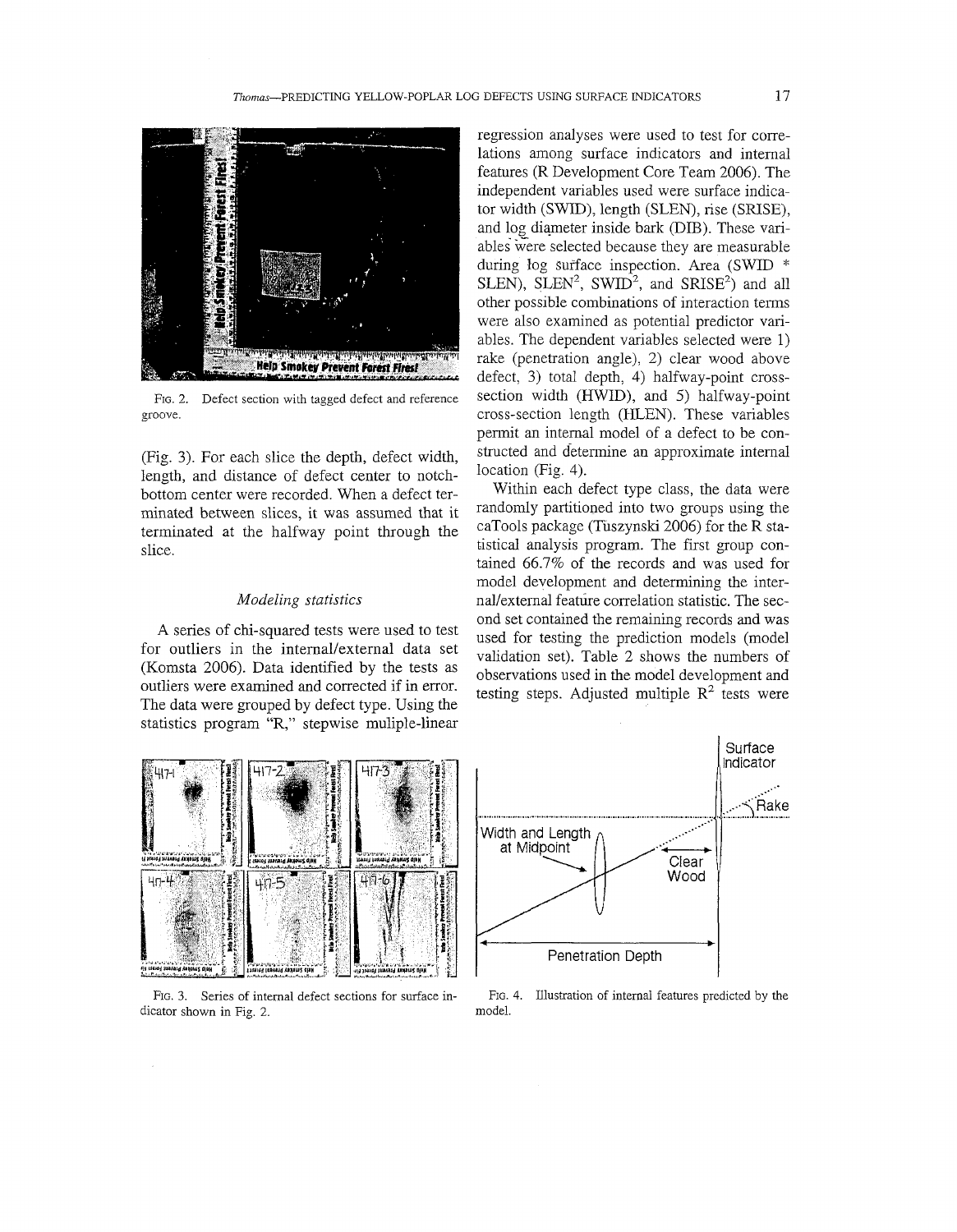

FIG. 2. Defect section with tagged defect and reference groove.

(Fig. 3). For each slice the depth, defect width, length, and distance of defect center to notchbottom center were recorded. When a defect terminated between slices, it was assumed that it terminated at the halfway point through the slice.

## *Modeling statistics*

A series of chi-squared tests were used to test for outliers in the internal/external data set (Komsta 2006). Data identified by the tests as outliers were examined and corrected if in error. The data were grouped by defect type. Using the statistics program "R," stepwise muliple-linear

regression analyses were used to test for correlations among surface indicators and internal features (R Development Core Team 2006). The independent variables used were surface indicator width (SWID), length (SLEN), rise (SRISE), and log diameter inside bark (DIB). These variables were selected because they are measurable during log surface inspection. Area (SWID \* SLEN), SLEN<sup>2</sup>, SWID<sup>2</sup>, and SRISE<sup>2</sup>) and all other possible combinations of interaction terms were also examined as potential predictor variables. The dependent variables selected were 1) rake (penetration angle), 2) clear wood above defect, 3) total depth, 4) halfway-point crosssection width (HWID), and *5)* halfway-point cross-section length (HLEN). These variables permit an internal model of a defect to be constructed and determine an approximate internal location (Fig. 4).

Within each defect type class, the data were randomly partitioned into two groups using the caTools package (Tuszynski 2006) for the R statistical analysis program. The first group contained 66.7% of the records and was used for model development and determining the internallexternal feature correlation statistic. The second set contained the remaining records and was used for testing the prediction models (model validation set). Table 2 shows the numbers of observations used in the model development and testing steps. Adjusted multiple  $R^2$  tests were



FIG. 3. Series of internal defect sections for surface indicator shown in Fig. 2.



FIG. 4. Illustration of internal features predicted by the model.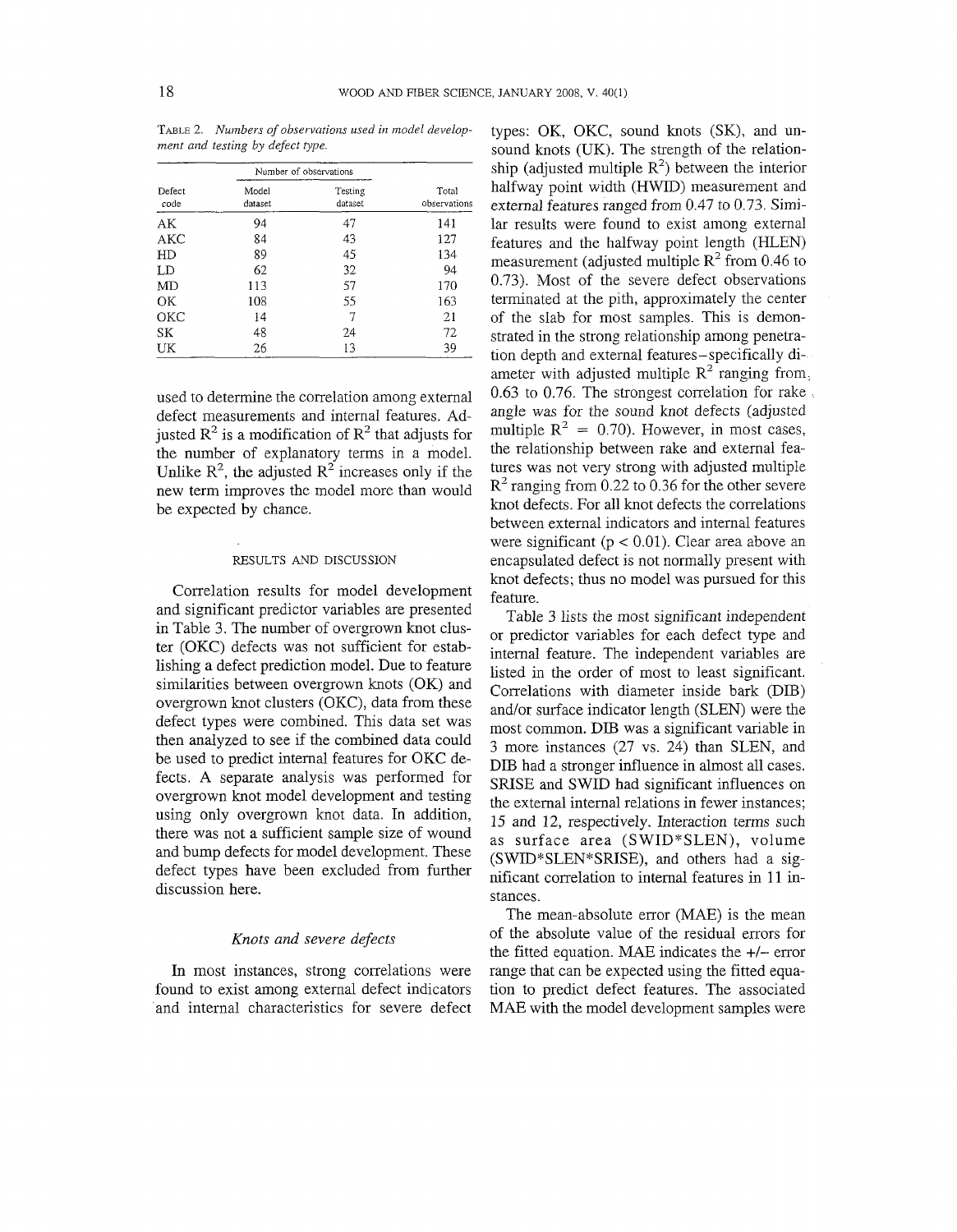|                | Number of observations |                    |                       |  |
|----------------|------------------------|--------------------|-----------------------|--|
| Defect<br>code | Model<br>dataset       | Testing<br>dataset | Total<br>observations |  |
| AК             | 94                     | 47                 | 141                   |  |
| AKC            | 84                     | 43                 | 127                   |  |
| HD             | 89                     | 45                 | 134                   |  |
| LD             | 62                     | 32                 | 94                    |  |
| MD             | 113                    | 57                 | 170                   |  |
| OК             | 108                    | 55                 | 163                   |  |
| ОКС            | 14                     | 7                  | 21                    |  |
| SK             | 48                     | 24                 | 72                    |  |
| UK             | 26                     | 13                 | 39                    |  |

TABLE 2. Numbers of observations used in model development and testing by defect type.

used to determine the correlation among external defect measurements and internal features. Adjusted  $\mathbb{R}^2$  is a modification of  $\mathbb{R}^2$  that adjusts for the number of explanatory terms in a model. Unlike  $\mathbb{R}^2$ , the adjusted  $\mathbb{R}^2$  increases only if the new term improves the model more than would be expected by chance.

#### RESULTS AND DISCUSSION

Correlation results for model development and significant predictor variables are presented in Table 3. The number of overgrown knot cluster (OKC) defects was not sufficient for establishing a defect prediction model. Due to feature similarities between overgrown knots (OK) and overgrown knot clusters (OKC), data from these defect types were combined. This data set was then analyzed to see if the combined data could be used to predict internal features for OKC defects. A separate analysis was performed for overgrown knot model development and testing using only overgrown knot data. In addition, there was not a sufficient sample size of wound and bump defects for model development. These defect types have been excluded from further discussion here.

# *Knots and severe defects*

In most instances, strong correlations were found to exist among external defect indicators and internal characteristics for severe defect

types: OK, OKC, sound knots (SK), and unsound knots (UK). The strength of the relationship (adjusted multiple  $R^2$ ) between the interior halfway point width (HWID) measurement and external features ranged from 0.47 to 0.73. Similar results were found to exist among external features and the halfway point length (HLEN) measurement (adjusted multiple  $R^2$  from 0.46 to 0.73). Most of the severe defect observations terminated at the pith, approximately the center of the slab for most samples. This is demonstrated in the strong relationship among penetration depth and external features-specifically diameter with adjusted multiple  $R^2$  ranging from,  $0.63$  to  $0.76$ . The strongest correlation for rake angle was for the sound knot defects (adjusted multiple  $R^2 = 0.70$ ). However, in most cases, the relationship between rake and external features was not very strong with adjusted multiple  $R<sup>2</sup>$  ranging from 0.22 to 0.36 for the other severe knot defects. For all knot defects the correlations between external indicators and internal features were significant ( $p < 0.01$ ). Clear area above an encapsulated defect is not normally present with knot defects; thus no model was pursued for this feature.

Table 3 lists the most significant independent or predictor variables for each defect type and internal feature. The independent variables are listed in the order of most to least significant. Correlations with diameter inside bark (DIB) and/or surface indicator length (SLEN) were the most common. DIB was a significant variable in 3 more instances (27 vs. 24) than SLEN, and DIB had a stronger influence in almost all cases. SRISE and SWID had significant influences on the external internal relations in fewer instances; 15 and 12, respectively. Interaction terms such as surface area (SWID\*SLEN), volume (SWID\*SLEN\*SRISE), and others had a significant correlation to internal features in 11 instances.

The mean-absolute error (MAE) is the mean of the absolute value of the residual errors for the fitted equation. MAE indicates the  $+/-$  error range that can be expected using the fitted equation to predict defect features. The associated MAE with the model development samples were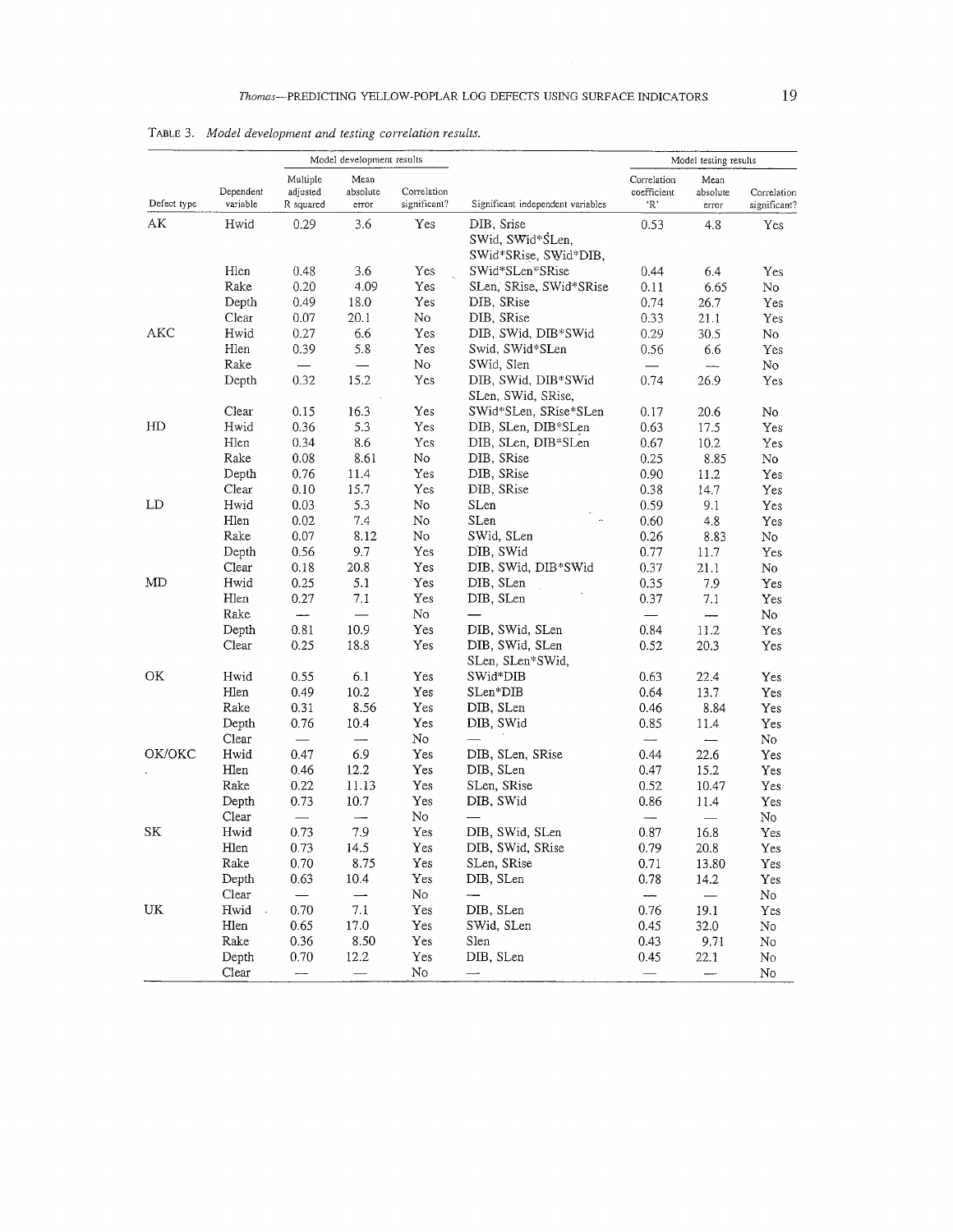|             | Dependent<br>variable | Model development results         |                           |                             |                                                         | Model testing results             |                           |                             |
|-------------|-----------------------|-----------------------------------|---------------------------|-----------------------------|---------------------------------------------------------|-----------------------------------|---------------------------|-----------------------------|
| Defect type |                       | Multiple<br>adjusted<br>R squared | Mean<br>absolute<br>error | Correlation<br>significant? | Significant independent variables                       | Correlation<br>coefficient<br>'R' | Mean<br>absolute<br>error | Correlation<br>significant? |
| АK          | Hwid                  | 0.29                              | 3.6                       | Yes                         | DIB, Srise<br>SWid, SWid*SLen,<br>SWid*SRise, SWid*DIB, | 0.53                              | 4.8                       | Yes                         |
|             | Hlen                  | 0.48                              | 3.6                       | Yes                         | SWid*SLen*SRise                                         | 0.44                              | 6.4                       | Yes                         |
|             | Rake                  | 0.20                              | 4.09                      | Yes                         | SLen, SRise, SWid*SRise                                 | 0.11                              | 6.65                      | No                          |
|             | Depth                 | 0.49                              | 18.0                      | Yes                         | DIB, SRise                                              | 0.74                              | 26.7                      | Yes                         |
|             | Clear                 | 0.07                              | 20.1                      | No                          | DIB, SRise                                              | 0.33                              | 21.1                      | Yes                         |
| AKC         | Hwid                  | 0.27                              | 6.6                       | Yes                         | DIB, SWid, DIB*SWid                                     | 0.29                              | 30.5                      | No                          |
|             | Hlen                  | 0.39                              | 5.8                       | Yes                         | Swid, SWid*SLen                                         | 0.56                              | 6.6                       | Yes                         |
|             | Rake                  |                                   |                           | No                          | SWid, Slen                                              |                                   | $\frac{1}{2}$             | No                          |
|             | Depth                 | 0.32                              | 15.2                      | Yes                         | DIB, SWid, DIB*SWid<br>SLen, SWid, SRise,               | 0.74                              | 26.9                      | Yes                         |
|             | Clear                 | 0.15                              | 16.3                      | Yes                         | SWid*SLen, SRise*SLen                                   | 0.17                              | 20.6                      | No                          |
| HD          | Hwid                  | 0.36                              | 5.3                       | Yes                         | DIB, SLen, DIB*SLen                                     | 0.63                              | 17.5                      | Yes                         |
|             | Hlen                  | 0.34                              | 8.6                       | Yes                         | DIB, SLen, DIB*SLen                                     | 0.67                              | 10.2                      | Yes                         |
|             | Rake                  | 0.08                              | 8.61                      | No                          | DIB, SRise                                              | 0.25                              | 8.85                      | No                          |
|             | Depth                 | 0.76                              | 11.4                      | Yes                         | DIB, SRise                                              | 0.90                              | 11.2                      | Yes                         |
| Clear       |                       | 0.10                              | 15.7                      | Yes                         | DIB, SRise                                              | 0.38                              | 14.7                      | Yes                         |
| LD          | Hwid                  | 0.03                              | 5.3                       | No                          | SLen                                                    | 0.59                              | 9.1                       | Yes                         |
|             | Hlen                  | 0.02                              | 7.4                       | No                          | SLen                                                    | 0.60                              | 4.8                       | Yes                         |
|             | Rake                  | 0.07                              | 8.12                      | No                          | SWid, SLen                                              | 0.26                              | 8.83                      | No                          |
|             | Depth                 | 0.56                              | 9.7                       | Yes                         | DIB, SWid                                               | 0.77                              | 11.7                      | Yes                         |
|             | Clear                 | 0.18                              | 20.8                      | Yes                         | DIB, SWid, DIB*SWid                                     | 0.37                              | 21.1                      | No                          |
| MD          | Hwid                  | 0.25                              | 5.1                       | Yes                         | DIB, SLen                                               | 0.35                              | 7.9                       | Yes                         |
|             | Hlen                  | 0.27                              | 7.1                       | Yes                         | DIB, SLen                                               | 0.37                              | 7.1                       | Yes                         |
|             | Rake                  | $\overline{\phantom{a}}$          |                           | No                          |                                                         |                                   |                           | No                          |
|             | Depth                 | 0.81                              | 10.9                      | Yes                         | DIB, SWid, SLen                                         | 0.84                              | 11.2                      | Yes                         |
|             | Clear                 | 0.25                              | 18.8                      | Yes                         | DIB, SWid, SLen<br>SLen, SLen*SWid,                     | 0.52                              | 20.3                      | Yes                         |
| OK          | Hwid                  | 0.55                              | 6.1                       | Yes                         | SWid*DIB                                                | 0.63                              | 22.4                      | Yes                         |
|             | Hlen                  | 0.49                              | 10.2                      | Yes                         | SLen*DIB                                                | 0.64                              | 13.7                      | Yes                         |
|             | Rake                  | 0.31                              | 8.56                      | Yes                         | DIB, SLen                                               | 0.46                              | 8.84                      | Yes                         |
|             | Depth                 | 0.76                              | 10.4                      | Yes                         | DIB, SWid                                               | 0.85                              | 11.4                      | Yes                         |
|             | Clear                 | $\frac{1}{2}$                     |                           | No                          |                                                         |                                   | $\overline{\phantom{0}}$  | No                          |
| OK/OKC      | Hwid                  | 0.47                              | 6.9                       | Yes                         | DIB, SLen, SRise                                        | 0.44                              | 22.6                      | Yes                         |
|             | Hlen                  | 0.46                              | 12.2                      | Yes                         | DIB, SLen                                               | 0.47                              | 15.2                      | Yes                         |
|             | Rake                  | 0.22                              | 11.13                     | Yes                         | SLen, SRise                                             | 0.52                              | 10.47                     | Yes                         |
|             | Depth                 | 0.73                              | 10.7                      | Yes                         | DIB, SWid                                               | 0.86                              | 11.4                      | Yes                         |
|             | Clear                 |                                   |                           | No                          |                                                         |                                   |                           | No                          |
| SK          | Hwid                  | 0.73                              | 7.9                       | Yes                         | DIB, SWid, SLen                                         | 0.87                              | 16.8                      | Yes                         |
|             | Hlen                  | 0.73                              | 14.5                      | Yes                         | DIB, SWid, SRise                                        | 0.79                              | 20.8                      | Yes                         |
|             | Rake                  | 0.70                              | 8.75                      | Yes                         | SLen, SRise                                             | 0.71                              | 13.80                     | Yes                         |
|             | Depth                 | 0.63                              | 10.4                      | Yes                         | DIB, SLen                                               | 0.78                              | 14.2                      | Yes                         |
|             | Clear                 |                                   | $\overline{\phantom{0}}$  | No                          |                                                         | ----                              |                           | No                          |
| UK          | Hwid                  | 0.70                              | $7.1\,$                   | Yes                         | DIB, SLen                                               | 0.76                              | 19.1                      | Yes                         |
|             | Hlen                  | 0.65                              | 17.0                      | Yes                         | SWid, SLen                                              | 0.45                              | 32.0                      | No                          |
|             | Rake                  | 0.36                              | 8.50                      | Yes                         | Slen                                                    | 0.43                              | 9.71                      | No                          |
|             | Depth                 | 0.70                              | 12.2                      | Yes                         | DIB, SLen                                               | 0.45                              | 22.1                      | No                          |
|             | Clear                 | $\overline{\phantom{a}}$          |                           | No                          | $\overline{\phantom{0}}$                                |                                   | $\overline{\phantom{0}}$  | No                          |

TABLE 3. *Model development and testing correlation results.*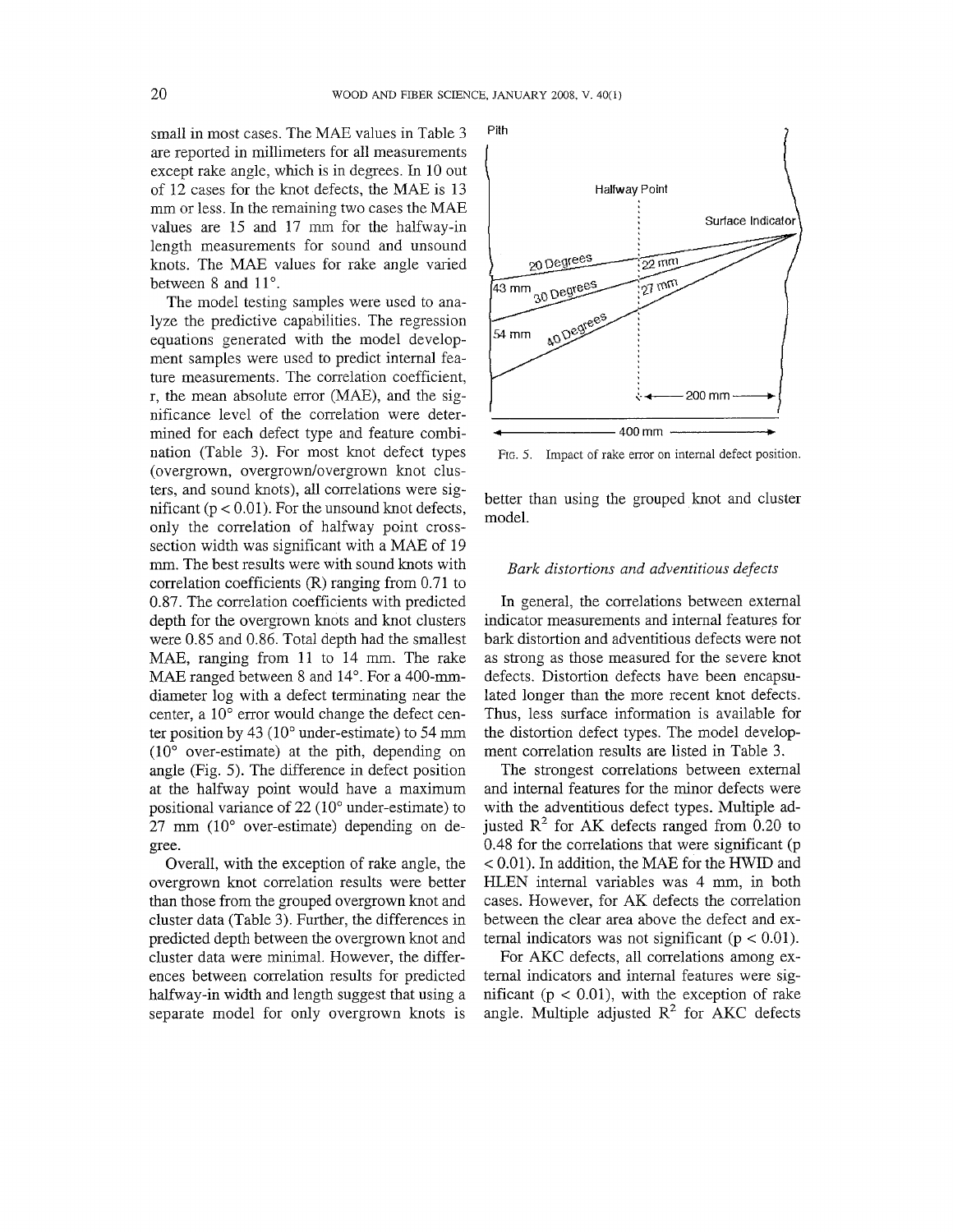small in most cases. The MAE values in Table 3 are reported in millimeters for all measurements except rake angle, which is in degrees. In 10 out of 12 cases for the knot defects, the MAE is 13 mm or less. In the remaining two cases the MAE values are 15 and 17 mm for the halfway-in length measurements for sound and unsound knots. The MAE values for rake angle varied between  $8$  and  $11^\circ$ .

The model testing samples were used to analyze the predictive capabilities. The regression equations generated with the model development samples were used to predict internal feature measurements. The correlation coefficient, r, the mean absolute error (MAE), and the significance level of the correlation were determined for each defect type and feature combination (Table 3). For most knot defect types (overgrown, overgrown/overgrown knot clusters, and sound knots), all correlations were significant ( $p < 0.01$ ). For the unsound knot defects, only the correlation of halfway point crosssection width was significant with a MAE of 19 mm. The best results were with sound knots with correlation coefficients (R) ranging from 0.71 to 0.87. The correlation coefficients with predicted depth for the overgrown knots and knot clusters were 0.85 and 0.86. Total depth had the smallest MAE, ranging from 11 to 14 mm. The rake MAE ranged between 8 and 14°. For a 400-mmdiameter log with a defect terminating near the center, a  $10^{\circ}$  error would change the defect center position by  $43$  ( $10^{\circ}$  under-estimate) to  $54$  mm  $(10^{\circ}$  over-estimate) at the pith, depending on angle (Fig. *5).* The difference in defect position at the halfway point would have a maximum positional variance of  $22(10^{\circ}$  under-estimate) to  $27 \text{ mm}$  (10 $\degree$  over-estimate) depending on degree.

Overall, with the exception of rake angle, the overgrown knot correlation results were better than those from the grouped overgrown knot and cluster data (Table 3). Further, the differences in predicted depth between the overgrown knot and cluster data were minimal. However, the differences between correlation results for predicted halfway-in width and length suggest that using a separate model for only overgrown knots is



FIG. 5. Impact of rake error on internal defect position.

better than using the grouped knot and cluster model.

# *Bark distortions and adventitious defects*

In general, the correlations between external indicator measurements and internal features for bark distortion and adventitious defects were not as strong as those measured for the severe knot defects. Distortion defects have been encapsulated longer than the more recent knot defects. Thus, less surface information is available for the distortion defect types. The model development correlation results are listed in Table 3.

The strongest correlations between external and internal features for the minor defects were with the adventitious defect types. Multiple adjusted  $\mathbb{R}^2$  for AK defects ranged from 0.20 to 0.48 for the correlations that were significant (p < 0.01). In addition, the MAE for the HWID and HLEN internal variables was 4 mm, in both cases. However, for AK defects the correlation between the clear area above the defect and external indicators was not significant ( $p < 0.01$ ).

For AKC defects, all correlations among external indicators and internal features were significant ( $p < 0.01$ ), with the exception of rake angle. Multiple adjusted  $R^2$  for AKC defects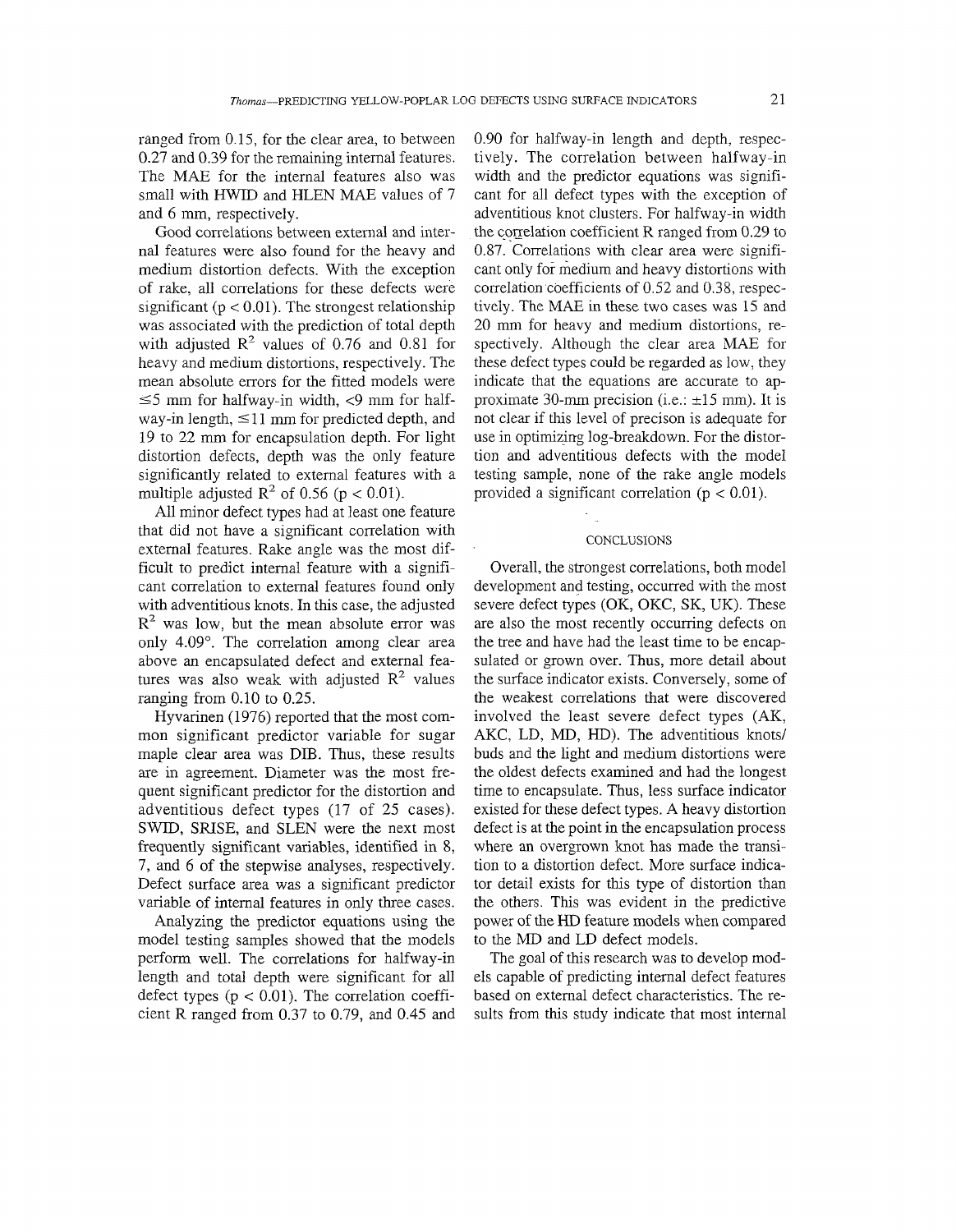ranged from 0.15, for the clear area, to between 0.27 and 0.39 for the remaining internal features. The MAE for the internal features also was small with HWID and HLEN MAE values of 7 and 6 mm, respectively.

Good correlations between external and inlernal features were also found for the heavy and medium distortion defects. With the exception of rake, all correlations for these defects were significant ( $p < 0.01$ ). The strongest relationship was associated with the prediction of total depth with adjusted  $R^2$  values of 0.76 and 0.81 for heavy and medium distortions, respectively. The mean absolute errors for the fitted models were  $\leq$ 5 mm for halfway-in width,  $\leq$ 9 mm for halfway-in length,  $\leq 11$  mm for predicted depth, and 19 to 22 mm for encapsulation depth. For light distortion defects, depth was the only feature significantly related to external features with a multiple adjusted  $\mathbb{R}^2$  of 0.56 (p < 0.01).

All minor defect types had at least one feature that did not have a significant correlation with external features. Rake angle was the most difficult to predict internal feature with a significant correlation to external features found only with adventitious knots. In this case, the adjusted  $R<sup>2</sup>$  was low, but the mean absolute error was only 4.09". The correlation among clear area above an encapsulated defect and external features was also weak with adjusted  $R^2$  values ranging from 0.10 to 0.25.

Hyvarinen (1976) reported that the most common significant predictor variable for sugar maple clear area was DIB. Thus, these results are in agreement. Diameter was the most frequent significant predictor for the distortion and adventitious defect types (17 of 25 cases). SWID, SRISE, and SLEN were the next most frequently significant variables, identified in 8, 7, and 6 of the stepwise analyses, respectively. Defect surface area was a significant predictor variable of internal features in only three cases.

Analyzing the predictor equations using the model testing samples showed that the models perform well. The correlations for halfway-in length and total depth were significant for all defect types  $(p < 0.01)$ . The correlation coefficient R ranged from 0.37 to 0.79, and 0.45 and 0.90 for halfway-in length and depth, respectively. The correlation between halfway-in width and the predictor equations was significant for all defect types with the exception of adventitious knot clusters. For halfway-in width the correlation coefficient R ranged from  $0.29$  to  $0.87$ . Correlations with clear area were significant only for medium and heavy distortions with correlation coefficients of 0.52 and 0.38, respectively. The MAE in these two cases was 15 and 20 mnl for heavy and medium distortions, respectively. Although the clear area MAE for these defect types could be regarded as low, they indicate that the equations are accurate to approximate 30-mm precision (i.e.:  $\pm 15$  mm). It is not clear if this level of precison is adequate for use in optimizing log-breakdown. For the distortion and adventitious defects with the model testing sample, none of the rake angle models provided a significant correlation ( $p < 0.01$ ).

## **CONCLUSIONS**

Overall, the strongest correlations, both model development and testing, occurred with the most severe defect types (OK, OKC, SK, UK). These are also the most recently occurring defects on the tree and have had the least time to be encapsulated or grown over. Thus, more detail about the surface indicator exists. Conversely, some of the weakest correlations that were discovered involved the least severe defect types (AK, AKC, LD, MD, HD). The adventitious knots/ buds and the light and medium distortions were the oldest defects examined and had the longest time to encapsulate. Thus, less surface indicator existed for these defect types. A heavy distortion defect is at the point in the encapsulation process where an overgrown knot has made the transition to a distortion defect. More surface indicator detail exists for this type of distortion than the others. This was evident in the predictive power of the HD feature models when compared to the MD and LD defect models.

The goal of this research was to develop models capable of predicting internal defect features based on external defect characteristics. The results from this study indicate that most internal